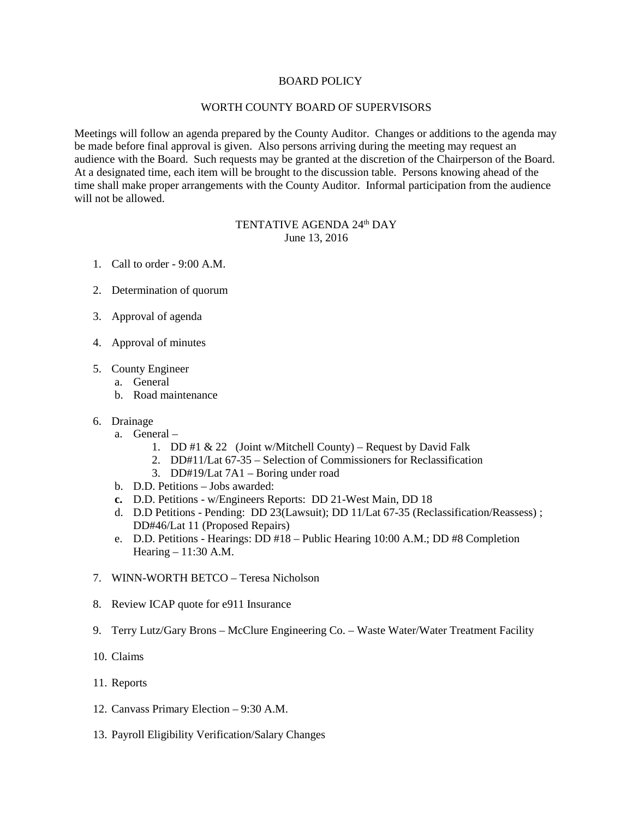## BOARD POLICY

## WORTH COUNTY BOARD OF SUPERVISORS

Meetings will follow an agenda prepared by the County Auditor. Changes or additions to the agenda may be made before final approval is given. Also persons arriving during the meeting may request an audience with the Board. Such requests may be granted at the discretion of the Chairperson of the Board. At a designated time, each item will be brought to the discussion table. Persons knowing ahead of the time shall make proper arrangements with the County Auditor. Informal participation from the audience will not be allowed.

## TENTATIVE AGENDA 24<sup>th</sup> DAY June 13, 2016

- 1. Call to order 9:00 A.M.
- 2. Determination of quorum
- 3. Approval of agenda
- 4. Approval of minutes
- 5. County Engineer
	- a. General
	- b. Road maintenance
- 6. Drainage
	- a. General
		- 1. DD #1  $& 22$  (Joint w/Mitchell County) Request by David Falk
		- 2. DD#11/Lat 67-35 Selection of Commissioners for Reclassification
		- 3. DD#19/Lat 7A1 Boring under road
	- b. D.D. Petitions Jobs awarded:
	- **c.** D.D. Petitions w/Engineers Reports: DD 21-West Main, DD 18
	- d. D.D Petitions Pending: DD 23(Lawsuit); DD 11/Lat 67-35 (Reclassification/Reassess) ; DD#46/Lat 11 (Proposed Repairs)
	- e. D.D. Petitions Hearings: DD #18 Public Hearing 10:00 A.M.; DD #8 Completion Hearing – 11:30 A.M.
- 7. WINN-WORTH BETCO Teresa Nicholson
- 8. Review ICAP quote for e911 Insurance
- 9. Terry Lutz/Gary Brons McClure Engineering Co. Waste Water/Water Treatment Facility
- 10. Claims
- 11. Reports
- 12. Canvass Primary Election 9:30 A.M.
- 13. Payroll Eligibility Verification/Salary Changes